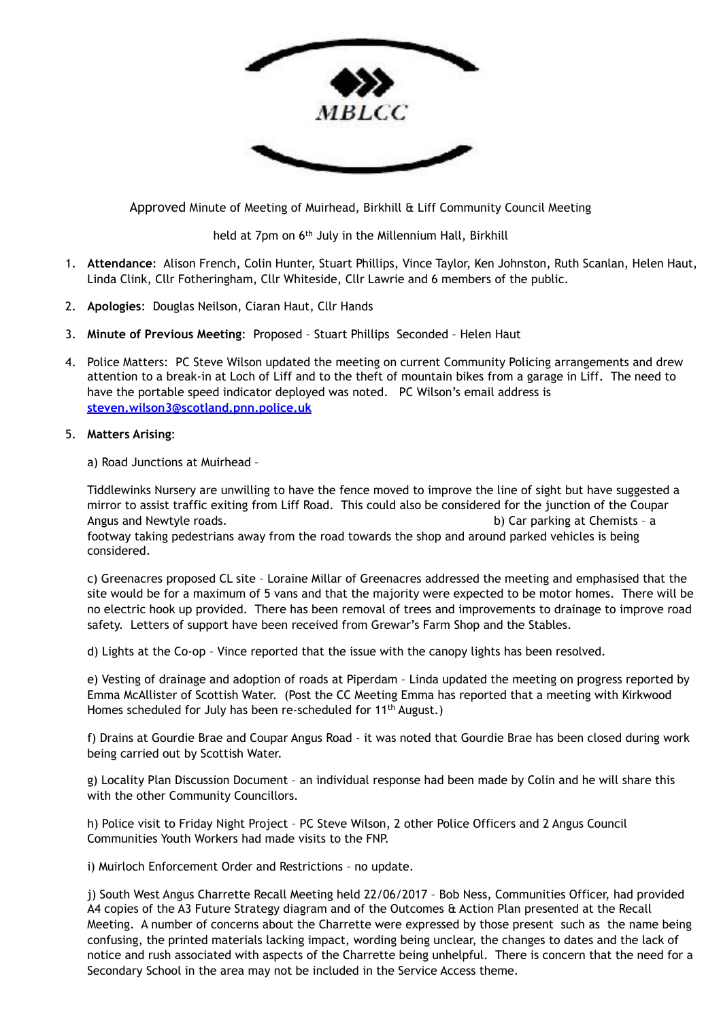

Approved Minute of Meeting of Muirhead, Birkhill & Liff Community Council Meeting

held at 7pm on 6<sup>th</sup> July in the Millennium Hall, Birkhill

- 1. **Attendance**: Alison French, Colin Hunter, Stuart Phillips, Vince Taylor, Ken Johnston, Ruth Scanlan, Helen Haut, Linda Clink, Cllr Fotheringham, Cllr Whiteside, Cllr Lawrie and 6 members of the public.
- 2. **Apologies**: Douglas Neilson, Ciaran Haut, Cllr Hands
- 3. **Minute of Previous Meeting**: Proposed Stuart Phillips Seconded Helen Haut
- 4. Police Matters: PC Steve Wilson updated the meeting on current Community Policing arrangements and drew attention to a break-in at Loch of Liff and to the theft of mountain bikes from a garage in Liff. The need to have the portable speed indicator deployed was noted. PC Wilson's email address is **[steven.wilson3@scotland.pnn.police.uk](mailto:steven.wilson3@scotland.pnn.police.uk)**
- 5. **Matters Arising**:

a) Road Junctions at Muirhead –

Tiddlewinks Nursery are unwilling to have the fence moved to improve the line of sight but have suggested a mirror to assist traffic exiting from Liff Road. This could also be considered for the junction of the Coupar Angus and Newtyle roads. b) Car parking at Chemists - a chemists - a chemists - a chemists - a chemists - a chemists - a chemists - a chemists - a chemists - a chemists - a chemists - a chemists - a chemists - a chemists footway taking pedestrians away from the road towards the shop and around parked vehicles is being considered.

c) Greenacres proposed CL site – Loraine Millar of Greenacres addressed the meeting and emphasised that the site would be for a maximum of 5 vans and that the majority were expected to be motor homes. There will be no electric hook up provided. There has been removal of trees and improvements to drainage to improve road safety. Letters of support have been received from Grewar's Farm Shop and the Stables.

d) Lights at the Co-op – Vince reported that the issue with the canopy lights has been resolved.

e) Vesting of drainage and adoption of roads at Piperdam – Linda updated the meeting on progress reported by Emma McAllister of Scottish Water. (Post the CC Meeting Emma has reported that a meeting with Kirkwood Homes scheduled for July has been re-scheduled for 11<sup>th</sup> August.)

f) Drains at Gourdie Brae and Coupar Angus Road - it was noted that Gourdie Brae has been closed during work being carried out by Scottish Water.

g) Locality Plan Discussion Document – an individual response had been made by Colin and he will share this with the other Community Councillors.

h) Police visit to Friday Night Project – PC Steve Wilson, 2 other Police Officers and 2 Angus Council Communities Youth Workers had made visits to the FNP.

i) Muirloch Enforcement Order and Restrictions – no update.

j) South West Angus Charrette Recall Meeting held 22/06/2017 – Bob Ness, Communities Officer, had provided A4 copies of the A3 Future Strategy diagram and of the Outcomes & Action Plan presented at the Recall Meeting. A number of concerns about the Charrette were expressed by those present such as the name being confusing, the printed materials lacking impact, wording being unclear, the changes to dates and the lack of notice and rush associated with aspects of the Charrette being unhelpful. There is concern that the need for a Secondary School in the area may not be included in the Service Access theme.